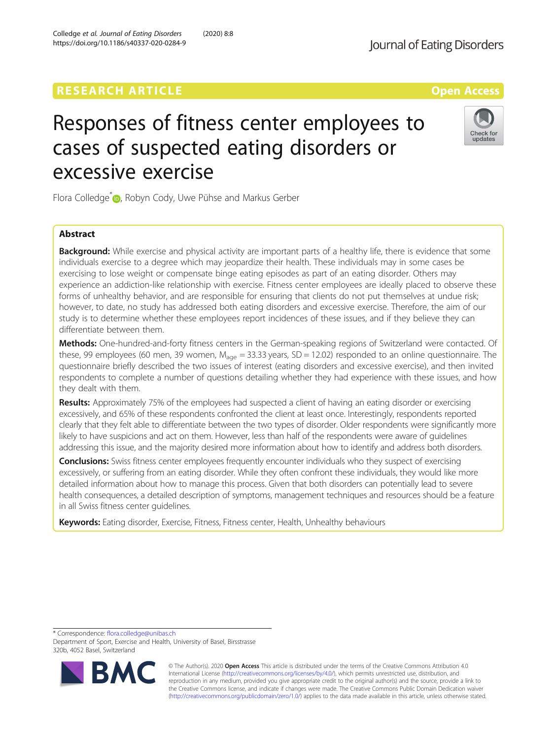# **RESEARCH ARTICLE Example 2018 12:30 THE Open Access**

# Responses of fitness center employees to cases of suspected eating disorders or excessive exercise

Flora Colledge<sup>[\\*](http://orcid.org/0000-0001-5406-7276)</sup> <sub>(D</sub>, Robyn Cody, Uwe Pühse and Markus Gerber

## Abstract

**Background:** While exercise and physical activity are important parts of a healthy life, there is evidence that some individuals exercise to a degree which may jeopardize their health. These individuals may in some cases be exercising to lose weight or compensate binge eating episodes as part of an eating disorder. Others may experience an addiction-like relationship with exercise. Fitness center employees are ideally placed to observe these forms of unhealthy behavior, and are responsible for ensuring that clients do not put themselves at undue risk; however, to date, no study has addressed both eating disorders and excessive exercise. Therefore, the aim of our study is to determine whether these employees report incidences of these issues, and if they believe they can differentiate between them.

Methods: One-hundred-and-forty fitness centers in the German-speaking regions of Switzerland were contacted. Of these, 99 employees (60 men, 39 women,  $M_{\text{age}} = 33.33$  years, SD = 12.02) responded to an online questionnaire. The questionnaire briefly described the two issues of interest (eating disorders and excessive exercise), and then invited respondents to complete a number of questions detailing whether they had experience with these issues, and how they dealt with them.

Results: Approximately 75% of the employees had suspected a client of having an eating disorder or exercising excessively, and 65% of these respondents confronted the client at least once. Interestingly, respondents reported clearly that they felt able to differentiate between the two types of disorder. Older respondents were significantly more likely to have suspicions and act on them. However, less than half of the respondents were aware of guidelines addressing this issue, and the majority desired more information about how to identify and address both disorders.

**Conclusions:** Swiss fitness center employees frequently encounter individuals who they suspect of exercising excessively, or suffering from an eating disorder. While they often confront these individuals, they would like more detailed information about how to manage this process. Given that both disorders can potentially lead to severe health consequences, a detailed description of symptoms, management techniques and resources should be a feature in all Swiss fitness center guidelines.

Keywords: Eating disorder, Exercise, Fitness, Fitness center, Health, Unhealthy behaviours

\* Correspondence: [flora.colledge@unibas.ch](mailto:flora.colledge@unibas.ch)

BA

Department of Sport, Exercise and Health, University of Basel, Birsstrasse 320b, 4052 Basel, Switzerland



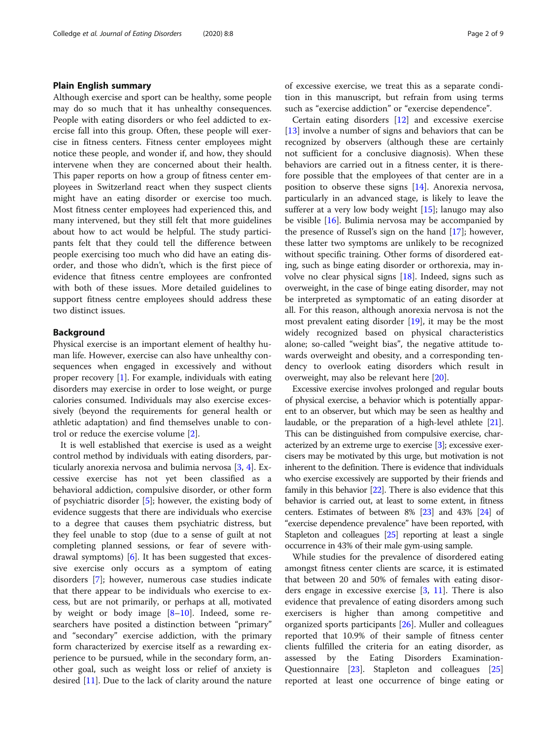#### Plain English summary

Although exercise and sport can be healthy, some people may do so much that it has unhealthy consequences. People with eating disorders or who feel addicted to exercise fall into this group. Often, these people will exercise in fitness centers. Fitness center employees might notice these people, and wonder if, and how, they should intervene when they are concerned about their health. This paper reports on how a group of fitness center employees in Switzerland react when they suspect clients might have an eating disorder or exercise too much. Most fitness center employees had experienced this, and many intervened, but they still felt that more guidelines about how to act would be helpful. The study participants felt that they could tell the difference between people exercising too much who did have an eating disorder, and those who didn't, which is the first piece of evidence that fitness centre employees are confronted with both of these issues. More detailed guidelines to support fitness centre employees should address these two distinct issues.

#### Background

Physical exercise is an important element of healthy human life. However, exercise can also have unhealthy consequences when engaged in excessively and without proper recovery [[1\]](#page-7-0). For example, individuals with eating disorders may exercise in order to lose weight, or purge calories consumed. Individuals may also exercise excessively (beyond the requirements for general health or athletic adaptation) and find themselves unable to control or reduce the exercise volume [[2\]](#page-7-0).

It is well established that exercise is used as a weight control method by individuals with eating disorders, particularly anorexia nervosa and bulimia nervosa [[3](#page-7-0), [4](#page-7-0)]. Excessive exercise has not yet been classified as a behavioral addiction, compulsive disorder, or other form of psychiatric disorder [\[5](#page-7-0)]; however, the existing body of evidence suggests that there are individuals who exercise to a degree that causes them psychiatric distress, but they feel unable to stop (due to a sense of guilt at not completing planned sessions, or fear of severe withdrawal symptoms) [[6\]](#page-7-0). It has been suggested that excessive exercise only occurs as a symptom of eating disorders [[7\]](#page-7-0); however, numerous case studies indicate that there appear to be individuals who exercise to excess, but are not primarily, or perhaps at all, motivated by weight or body image [[8](#page-7-0)–[10\]](#page-7-0). Indeed, some researchers have posited a distinction between "primary" and "secondary" exercise addiction, with the primary form characterized by exercise itself as a rewarding experience to be pursued, while in the secondary form, another goal, such as weight loss or relief of anxiety is desired [\[11\]](#page-7-0). Due to the lack of clarity around the nature

of excessive exercise, we treat this as a separate condition in this manuscript, but refrain from using terms such as "exercise addiction" or "exercise dependence".

Certain eating disorders [[12](#page-7-0)] and excessive exercise [[13\]](#page-7-0) involve a number of signs and behaviors that can be recognized by observers (although these are certainly not sufficient for a conclusive diagnosis). When these behaviors are carried out in a fitness center, it is therefore possible that the employees of that center are in a position to observe these signs [[14\]](#page-7-0). Anorexia nervosa, particularly in an advanced stage, is likely to leave the sufferer at a very low body weight [[15\]](#page-7-0); lanugo may also be visible [[16\]](#page-7-0). Bulimia nervosa may be accompanied by the presence of Russel's sign on the hand [[17](#page-7-0)]; however, these latter two symptoms are unlikely to be recognized without specific training. Other forms of disordered eating, such as binge eating disorder or orthorexia, may involve no clear physical signs [[18\]](#page-7-0). Indeed, signs such as overweight, in the case of binge eating disorder, may not be interpreted as symptomatic of an eating disorder at all. For this reason, although anorexia nervosa is not the most prevalent eating disorder [\[19](#page-7-0)], it may be the most widely recognized based on physical characteristics alone; so-called "weight bias", the negative attitude towards overweight and obesity, and a corresponding tendency to overlook eating disorders which result in overweight, may also be relevant here [[20\]](#page-7-0).

Excessive exercise involves prolonged and regular bouts of physical exercise, a behavior which is potentially apparent to an observer, but which may be seen as healthy and laudable, or the preparation of a high-level athlete [\[21](#page-7-0)]. This can be distinguished from compulsive exercise, characterized by an extreme urge to exercise [\[3\]](#page-7-0); excessive exercisers may be motivated by this urge, but motivation is not inherent to the definition. There is evidence that individuals who exercise excessively are supported by their friends and family in this behavior [[22](#page-7-0)]. There is also evidence that this behavior is carried out, at least to some extent, in fitness centers. Estimates of between 8% [\[23](#page-7-0)] and 43% [\[24\]](#page-8-0) of "exercise dependence prevalence" have been reported, with Stapleton and colleagues [[25](#page-8-0)] reporting at least a single occurrence in 43% of their male gym-using sample.

While studies for the prevalence of disordered eating amongst fitness center clients are scarce, it is estimated that between 20 and 50% of females with eating disorders engage in excessive exercise  $[3, 11]$  $[3, 11]$  $[3, 11]$ . There is also evidence that prevalence of eating disorders among such exercisers is higher than among competitive and organized sports participants [[26\]](#page-8-0). Muller and colleagues reported that 10.9% of their sample of fitness center clients fulfilled the criteria for an eating disorder, as assessed by the Eating Disorders Examination-Questionnaire [\[23\]](#page-7-0). Stapleton and colleagues [[25](#page-8-0)] reported at least one occurrence of binge eating or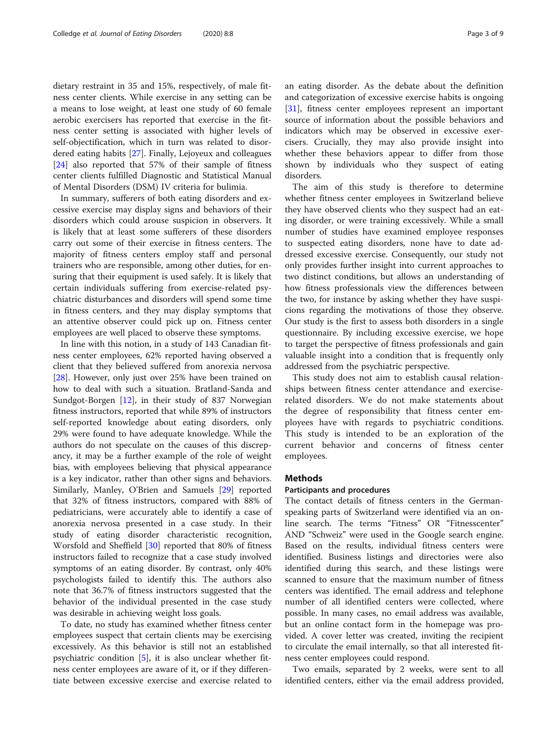dietary restraint in 35 and 15%, respectively, of male fitness center clients. While exercise in any setting can be a means to lose weight, at least one study of 60 female aerobic exercisers has reported that exercise in the fitness center setting is associated with higher levels of self-objectification, which in turn was related to disordered eating habits [[27\]](#page-8-0). Finally, Lejoyeux and colleagues [[24\]](#page-8-0) also reported that 57% of their sample of fitness center clients fulfilled Diagnostic and Statistical Manual of Mental Disorders (DSM) IV criteria for bulimia.

In summary, sufferers of both eating disorders and excessive exercise may display signs and behaviors of their disorders which could arouse suspicion in observers. It is likely that at least some sufferers of these disorders carry out some of their exercise in fitness centers. The majority of fitness centers employ staff and personal trainers who are responsible, among other duties, for ensuring that their equipment is used safely. It is likely that certain individuals suffering from exercise-related psychiatric disturbances and disorders will spend some time in fitness centers, and they may display symptoms that an attentive observer could pick up on. Fitness center employees are well placed to observe these symptoms.

In line with this notion, in a study of 143 Canadian fitness center employees, 62% reported having observed a client that they believed suffered from anorexia nervosa [[28\]](#page-8-0). However, only just over 25% have been trained on how to deal with such a situation. Bratland-Sanda and Sundgot-Borgen [\[12\]](#page-7-0), in their study of 837 Norwegian fitness instructors, reported that while 89% of instructors self-reported knowledge about eating disorders, only 29% were found to have adequate knowledge. While the authors do not speculate on the causes of this discrepancy, it may be a further example of the role of weight bias, with employees believing that physical appearance is a key indicator, rather than other signs and behaviors. Similarly, Manley, O'Brien and Samuels [\[29](#page-8-0)] reported that 32% of fitness instructors, compared with 88% of pediatricians, were accurately able to identify a case of anorexia nervosa presented in a case study. In their study of eating disorder characteristic recognition, Worsfold and Sheffield [[30\]](#page-8-0) reported that 80% of fitness instructors failed to recognize that a case study involved symptoms of an eating disorder. By contrast, only 40% psychologists failed to identify this. The authors also note that 36.7% of fitness instructors suggested that the behavior of the individual presented in the case study was desirable in achieving weight loss goals.

To date, no study has examined whether fitness center employees suspect that certain clients may be exercising excessively. As this behavior is still not an established psychiatric condition [\[5](#page-7-0)], it is also unclear whether fitness center employees are aware of it, or if they differentiate between excessive exercise and exercise related to an eating disorder. As the debate about the definition and categorization of excessive exercise habits is ongoing [[31\]](#page-8-0), fitness center employees represent an important source of information about the possible behaviors and indicators which may be observed in excessive exercisers. Crucially, they may also provide insight into whether these behaviors appear to differ from those shown by individuals who they suspect of eating disorders.

The aim of this study is therefore to determine whether fitness center employees in Switzerland believe they have observed clients who they suspect had an eating disorder, or were training excessively. While a small number of studies have examined employee responses to suspected eating disorders, none have to date addressed excessive exercise. Consequently, our study not only provides further insight into current approaches to two distinct conditions, but allows an understanding of how fitness professionals view the differences between the two, for instance by asking whether they have suspicions regarding the motivations of those they observe. Our study is the first to assess both disorders in a single questionnaire. By including excessive exercise, we hope to target the perspective of fitness professionals and gain valuable insight into a condition that is frequently only addressed from the psychiatric perspective.

This study does not aim to establish causal relationships between fitness center attendance and exerciserelated disorders. We do not make statements about the degree of responsibility that fitness center employees have with regards to psychiatric conditions. This study is intended to be an exploration of the current behavior and concerns of fitness center employees.

#### **Methods**

#### Participants and procedures

The contact details of fitness centers in the Germanspeaking parts of Switzerland were identified via an online search. The terms "Fitness" OR "Fitnesscenter" AND "Schweiz" were used in the Google search engine. Based on the results, individual fitness centers were identified. Business listings and directories were also identified during this search, and these listings were scanned to ensure that the maximum number of fitness centers was identified. The email address and telephone number of all identified centers were collected, where possible. In many cases, no email address was available, but an online contact form in the homepage was provided. A cover letter was created, inviting the recipient to circulate the email internally, so that all interested fitness center employees could respond.

Two emails, separated by 2 weeks, were sent to all identified centers, either via the email address provided,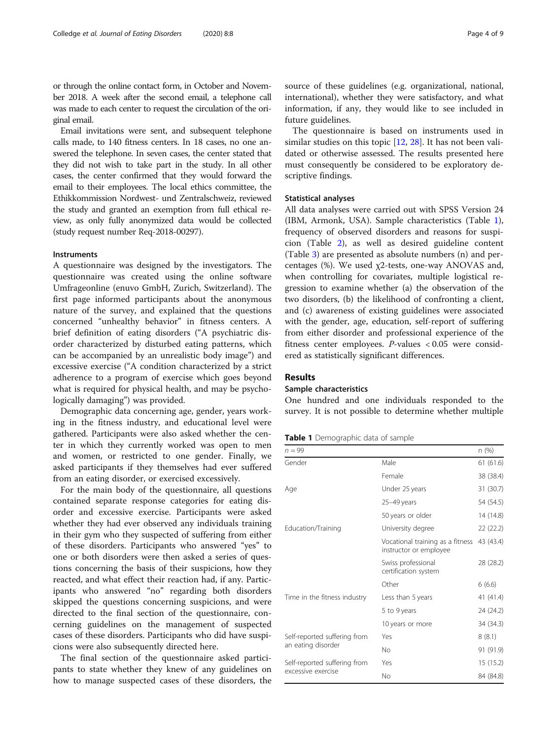<span id="page-3-0"></span>or through the online contact form, in October and November 2018. A week after the second email, a telephone call was made to each center to request the circulation of the original email.

Email invitations were sent, and subsequent telephone calls made, to 140 fitness centers. In 18 cases, no one answered the telephone. In seven cases, the center stated that they did not wish to take part in the study. In all other cases, the center confirmed that they would forward the email to their employees. The local ethics committee, the Ethikkommission Nordwest- und Zentralschweiz, reviewed the study and granted an exemption from full ethical review, as only fully anonymized data would be collected (study request number Req-2018-00297).

#### Instruments

A questionnaire was designed by the investigators. The questionnaire was created using the online software Umfrageonline (enuvo GmbH, Zurich, Switzerland). The first page informed participants about the anonymous nature of the survey, and explained that the questions concerned "unhealthy behavior" in fitness centers. A brief definition of eating disorders ("A psychiatric disorder characterized by disturbed eating patterns, which can be accompanied by an unrealistic body image") and excessive exercise ("A condition characterized by a strict adherence to a program of exercise which goes beyond what is required for physical health, and may be psychologically damaging") was provided.

Demographic data concerning age, gender, years working in the fitness industry, and educational level were gathered. Participants were also asked whether the center in which they currently worked was open to men and women, or restricted to one gender. Finally, we asked participants if they themselves had ever suffered from an eating disorder, or exercised excessively.

For the main body of the questionnaire, all questions contained separate response categories for eating disorder and excessive exercise. Participants were asked whether they had ever observed any individuals training in their gym who they suspected of suffering from either of these disorders. Participants who answered "yes" to one or both disorders were then asked a series of questions concerning the basis of their suspicions, how they reacted, and what effect their reaction had, if any. Participants who answered "no" regarding both disorders skipped the questions concerning suspicions, and were directed to the final section of the questionnaire, concerning guidelines on the management of suspected cases of these disorders. Participants who did have suspicions were also subsequently directed here.

The final section of the questionnaire asked participants to state whether they knew of any guidelines on how to manage suspected cases of these disorders, the source of these guidelines (e.g. organizational, national, international), whether they were satisfactory, and what information, if any, they would like to see included in future guidelines.

The questionnaire is based on instruments used in similar studies on this topic [[12,](#page-7-0) [28](#page-8-0)]. It has not been validated or otherwise assessed. The results presented here must consequently be considered to be exploratory descriptive findings.

#### Statistical analyses

All data analyses were carried out with SPSS Version 24 (IBM, Armonk, USA). Sample characteristics (Table 1), frequency of observed disorders and reasons for suspicion (Table [2\)](#page-4-0), as well as desired guideline content (Table [3\)](#page-4-0) are presented as absolute numbers (n) and percentages (%). We used χ2-tests, one-way ANOVAS and, when controlling for covariates, multiple logistical regression to examine whether (a) the observation of the two disorders, (b) the likelihood of confronting a client, and (c) awareness of existing guidelines were associated with the gender, age, education, self-report of suffering from either disorder and professional experience of the fitness center employees. P-values < 0.05 were considered as statistically significant differences.

#### Results

#### Sample characteristics

One hundred and one individuals responded to the survey. It is not possible to determine whether multiple

#### Table 1 Demographic data of sample

| $n = 99$                                           |                                                            | n (%)     |
|----------------------------------------------------|------------------------------------------------------------|-----------|
| Gender                                             | Male                                                       | 61(61.6)  |
|                                                    | Female                                                     | 38 (38.4) |
| Age                                                | Under 25 years                                             | 31 (30.7) |
|                                                    | 25-49 years                                                | 54 (54.5) |
|                                                    | 50 years or older                                          | 14 (14.8) |
| Education/Training                                 | University degree                                          | 22 (22.2) |
|                                                    | Vocational training as a fitness<br>instructor or employee | 43 (43.4) |
|                                                    | Swiss professional<br>certification system                 | 28 (28.2) |
|                                                    | Other                                                      | 6(6.6)    |
| Time in the fitness industry                       | Less than 5 years                                          | 41 (41.4) |
|                                                    | 5 to 9 years                                               | 24 (24.2) |
|                                                    | 10 years or more                                           | 34 (34.3) |
| Self-reported suffering from<br>an eating disorder | Yes                                                        | 8(8.1)    |
|                                                    | No.                                                        | 91 (91.9) |
| Self-reported suffering from                       | Yes                                                        | 15 (15.2) |
| excessive exercise                                 | No                                                         | 84 (84.8) |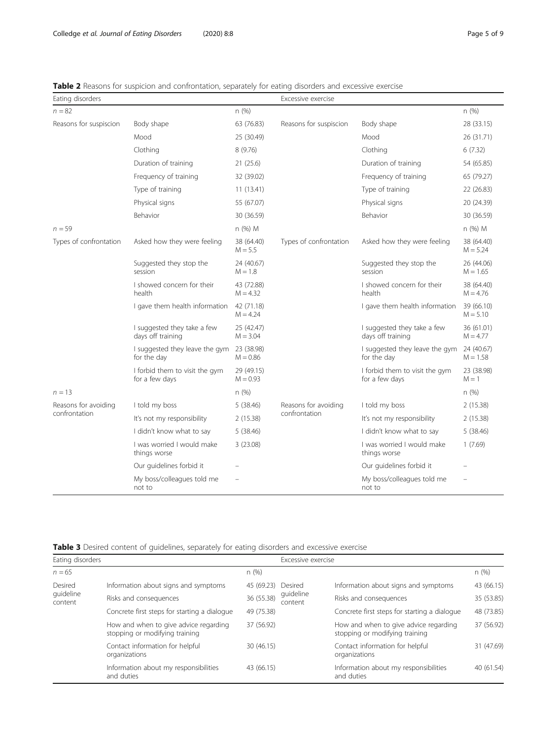<span id="page-4-0"></span>

|  |  | <b>Table 2</b> Reasons for suspicion and confrontation, separately for eating disorders and excessive exercise |  |  |  |
|--|--|----------------------------------------------------------------------------------------------------------------|--|--|--|
|  |  |                                                                                                                |  |  |  |
|  |  |                                                                                                                |  |  |  |

| Eating disorders       |                                                  |                          | Excessive exercise     |                                                  |                          |  |  |
|------------------------|--------------------------------------------------|--------------------------|------------------------|--------------------------------------------------|--------------------------|--|--|
| $n = 82$               |                                                  | n(%)                     |                        |                                                  | n(%)                     |  |  |
| Reasons for suspiscion | Body shape                                       | 63 (76.83)               | Reasons for suspiscion | Body shape                                       | 28 (33.15)               |  |  |
|                        | Mood                                             | 25 (30.49)               |                        | Mood                                             | 26 (31.71)               |  |  |
|                        | Clothing                                         | 8(9.76)                  |                        | Clothing                                         | 6(7.32)                  |  |  |
|                        | Duration of training                             | 21(25.6)                 |                        | Duration of training                             | 54 (65.85)               |  |  |
|                        | Frequency of training                            | 32 (39.02)               |                        | Frequency of training                            | 65 (79.27)               |  |  |
|                        | Type of training                                 | 11(13.41)                |                        | Type of training                                 | 22 (26.83)               |  |  |
|                        | Physical signs                                   | 55 (67.07)               |                        | Physical signs                                   | 20 (24.39)               |  |  |
|                        | Behavior                                         | 30 (36.59)               |                        | Behavior                                         | 30 (36.59)               |  |  |
| $n = 59$               |                                                  | n (%) M                  |                        |                                                  | n (%) M                  |  |  |
| Types of confrontation | Asked how they were feeling                      | 38 (64.40)<br>$M = 5.5$  | Types of confrontation | Asked how they were feeling                      | 38 (64.40)<br>$M = 5.24$ |  |  |
|                        | Suggested they stop the<br>session               | 24 (40.67)<br>$M = 1.8$  |                        | Suggested they stop the<br>session               | 26 (44.06)<br>$M = 1.65$ |  |  |
|                        | I showed concern for their<br>health             | 43 (72.88)<br>$M = 4.32$ |                        | I showed concern for their<br>health             | 38 (64.40)<br>$M = 4.76$ |  |  |
|                        | I gave them health information                   | 42 (71.18)<br>$M = 4.24$ |                        | I gave them health information                   | 39 (66.10)<br>$M = 5.10$ |  |  |
|                        | I suggested they take a few<br>days off training | 25 (42.47)<br>$M = 3.04$ |                        | I suggested they take a few<br>days off training | 36 (61.01)<br>$M = 4.77$ |  |  |
|                        | I suggested they leave the gym<br>for the day    | 23 (38.98)<br>$M = 0.86$ |                        | I suggested they leave the gym<br>for the day    | 24 (40.67)<br>$M = 1.58$ |  |  |
|                        | I forbid them to visit the gym<br>for a few days | 29 (49.15)<br>$M = 0.93$ |                        | I forbid them to visit the gym<br>for a few days | 23 (38.98)<br>$M = 1$    |  |  |
| $n = 13$               |                                                  | n(%)                     |                        |                                                  | n(%)                     |  |  |
| Reasons for avoiding   | I told my boss                                   | 5(38.46)                 | Reasons for avoiding   | I told my boss                                   | 2(15.38)                 |  |  |
| confrontation          | It's not my responsibility                       | 2(15.38)                 | confrontation          | It's not my responsibility                       | 2 (15.38)                |  |  |
|                        | I didn't know what to say<br>5(38.46)            |                          |                        | I didn't know what to say                        | 5(38.46)                 |  |  |
|                        | I was worried I would make<br>things worse       | 3(23.08)                 |                        | I was worried I would make<br>things worse       | 1(7.69)                  |  |  |
|                        | Our quidelines forbid it                         |                          |                        | Our quidelines forbid it                         |                          |  |  |
|                        | My boss/colleagues told me<br>not to             |                          |                        | My boss/colleagues told me<br>not to             |                          |  |  |

Table 3 Desired content of guidelines, separately for eating disorders and excessive exercise

| Eating disorders     |                                                                         |            | Excessive exercise   |                                                                         |            |  |
|----------------------|-------------------------------------------------------------------------|------------|----------------------|-------------------------------------------------------------------------|------------|--|
| $n = 65$             |                                                                         | n(%)       |                      |                                                                         | n(%)       |  |
| Desired              | Information about signs and symptoms                                    | 45 (69.23) | Desired              | Information about signs and symptoms                                    | 43 (66.15) |  |
| quideline<br>content | Risks and consequences                                                  | 36 (55.38) | guideline<br>content | Risks and consequences                                                  | 35 (53.85) |  |
|                      | Concrete first steps for starting a dialogue                            | 49 (75.38) |                      | Concrete first steps for starting a dialogue                            | 48 (73.85) |  |
|                      | How and when to give advice regarding<br>stopping or modifying training | 37 (56.92) |                      | How and when to give advice regarding<br>stopping or modifying training | 37 (56.92) |  |
|                      | Contact information for helpful<br>organizations                        | 30(46.15)  |                      | Contact information for helpful<br>organizations                        | 31 (47.69) |  |
|                      | Information about my responsibilities<br>and duties                     | 43 (66.15) |                      | Information about my responsibilities<br>and duties                     | 40 (61.54) |  |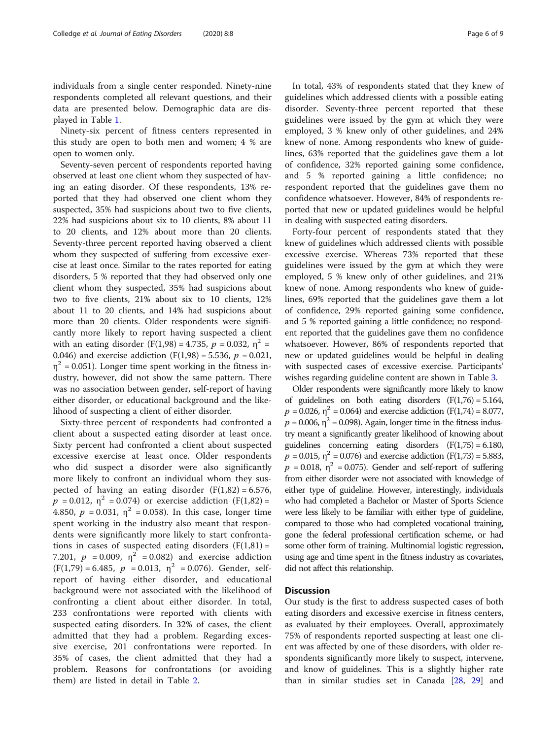individuals from a single center responded. Ninety-nine respondents completed all relevant questions, and their data are presented below. Demographic data are displayed in Table [1.](#page-3-0)

Ninety-six percent of fitness centers represented in this study are open to both men and women; 4 % are open to women only.

Seventy-seven percent of respondents reported having observed at least one client whom they suspected of having an eating disorder. Of these respondents, 13% reported that they had observed one client whom they suspected, 35% had suspicions about two to five clients, 22% had suspicions about six to 10 clients, 8% about 11 to 20 clients, and 12% about more than 20 clients. Seventy-three percent reported having observed a client whom they suspected of suffering from excessive exercise at least once. Similar to the rates reported for eating disorders, 5 % reported that they had observed only one client whom they suspected, 35% had suspicions about two to five clients, 21% about six to 10 clients, 12% about 11 to 20 clients, and 14% had suspicions about more than 20 clients. Older respondents were significantly more likely to report having suspected a client with an eating disorder (F(1,98) = 4.735,  $p = 0.032$ ,  $\eta^2$  = 0.046) and exercise addiction (F(1,98) = 5.536,  $p = 0.021$ ,  $\eta^2$  = 0.051). Longer time spent working in the fitness industry, however, did not show the same pattern. There was no association between gender, self-report of having either disorder, or educational background and the likelihood of suspecting a client of either disorder.

Sixty-three percent of respondents had confronted a client about a suspected eating disorder at least once. Sixty percent had confronted a client about suspected excessive exercise at least once. Older respondents who did suspect a disorder were also significantly more likely to confront an individual whom they suspected of having an eating disorder  $(F(1,82) = 6.576,$  $p = 0.012$ ,  $\eta^2 = 0.074$ ) or exercise addiction (F(1,82) = 4.850,  $p = 0.031$ ,  $\eta^2 = 0.058$ ). In this case, longer time spent working in the industry also meant that respondents were significantly more likely to start confrontations in cases of suspected eating disorders  $(F(1,81) =$ 7.201,  $p = 0.009$ ,  $\eta^2 = 0.082$ ) and exercise addiction  $(F(1,79) = 6.485, p = 0.013, \eta^2 = 0.076)$ . Gender, selfreport of having either disorder, and educational background were not associated with the likelihood of confronting a client about either disorder. In total, 233 confrontations were reported with clients with suspected eating disorders. In 32% of cases, the client admitted that they had a problem. Regarding excessive exercise, 201 confrontations were reported. In 35% of cases, the client admitted that they had a problem. Reasons for confrontations (or avoiding them) are listed in detail in Table [2](#page-4-0).

In total, 43% of respondents stated that they knew of guidelines which addressed clients with a possible eating disorder. Seventy-three percent reported that these guidelines were issued by the gym at which they were employed, 3 % knew only of other guidelines, and 24% knew of none. Among respondents who knew of guidelines, 63% reported that the guidelines gave them a lot of confidence, 32% reported gaining some confidence, and 5 % reported gaining a little confidence; no respondent reported that the guidelines gave them no confidence whatsoever. However, 84% of respondents reported that new or updated guidelines would be helpful in dealing with suspected eating disorders.

Forty-four percent of respondents stated that they knew of guidelines which addressed clients with possible excessive exercise. Whereas 73% reported that these guidelines were issued by the gym at which they were employed, 5 % knew only of other guidelines, and 21% knew of none. Among respondents who knew of guidelines, 69% reported that the guidelines gave them a lot of confidence, 29% reported gaining some confidence, and 5 % reported gaining a little confidence; no respondent reported that the guidelines gave them no confidence whatsoever. However, 86% of respondents reported that new or updated guidelines would be helpful in dealing with suspected cases of excessive exercise. Participants' wishes regarding guideline content are shown in Table [3](#page-4-0).

Older respondents were significantly more likely to know of guidelines on both eating disorders  $(F(1,76) = 5.164,$  $p = 0.026$ ,  $\eta^2 = 0.064$ ) and exercise addiction (F(1,74) = 8.077,  $p = 0.006$ ,  $\eta^2 = 0.098$ ). Again, longer time in the fitness industry meant a significantly greater likelihood of knowing about guidelines concerning eating disorders  $(F(1,75) = 6.180,$  $p = 0.015$ ,  $\eta^2 = 0.076$ ) and exercise addiction (F(1,73) = 5.883,  $p = 0.018$ ,  $\eta^2 = 0.075$ ). Gender and self-report of suffering from either disorder were not associated with knowledge of either type of guideline. However, interestingly, individuals who had completed a Bachelor or Master of Sports Science were less likely to be familiar with either type of guideline, compared to those who had completed vocational training, gone the federal professional certification scheme, or had some other form of training. Multinomial logistic regression, using age and time spent in the fitness industry as covariates, did not affect this relationship.

### **Discussion**

Our study is the first to address suspected cases of both eating disorders and excessive exercise in fitness centers, as evaluated by their employees. Overall, approximately 75% of respondents reported suspecting at least one client was affected by one of these disorders, with older respondents significantly more likely to suspect, intervene, and know of guidelines. This is a slightly higher rate than in similar studies set in Canada [[28](#page-8-0), [29\]](#page-8-0) and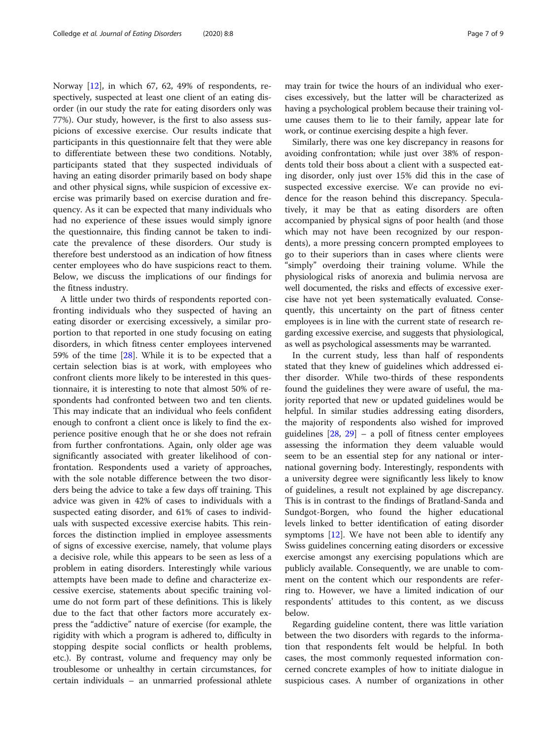Norway [\[12\]](#page-7-0), in which 67, 62, 49% of respondents, respectively, suspected at least one client of an eating disorder (in our study the rate for eating disorders only was 77%). Our study, however, is the first to also assess suspicions of excessive exercise. Our results indicate that participants in this questionnaire felt that they were able to differentiate between these two conditions. Notably, participants stated that they suspected individuals of having an eating disorder primarily based on body shape and other physical signs, while suspicion of excessive exercise was primarily based on exercise duration and frequency. As it can be expected that many individuals who had no experience of these issues would simply ignore the questionnaire, this finding cannot be taken to indicate the prevalence of these disorders. Our study is therefore best understood as an indication of how fitness center employees who do have suspicions react to them. Below, we discuss the implications of our findings for the fitness industry.

A little under two thirds of respondents reported confronting individuals who they suspected of having an eating disorder or exercising excessively, a similar proportion to that reported in one study focusing on eating disorders, in which fitness center employees intervened 59% of the time [[28\]](#page-8-0). While it is to be expected that a certain selection bias is at work, with employees who confront clients more likely to be interested in this questionnaire, it is interesting to note that almost 50% of respondents had confronted between two and ten clients. This may indicate that an individual who feels confident enough to confront a client once is likely to find the experience positive enough that he or she does not refrain from further confrontations. Again, only older age was significantly associated with greater likelihood of confrontation. Respondents used a variety of approaches, with the sole notable difference between the two disorders being the advice to take a few days off training. This advice was given in 42% of cases to individuals with a suspected eating disorder, and 61% of cases to individuals with suspected excessive exercise habits. This reinforces the distinction implied in employee assessments of signs of excessive exercise, namely, that volume plays a decisive role, while this appears to be seen as less of a problem in eating disorders. Interestingly while various attempts have been made to define and characterize excessive exercise, statements about specific training volume do not form part of these definitions. This is likely due to the fact that other factors more accurately express the "addictive" nature of exercise (for example, the rigidity with which a program is adhered to, difficulty in stopping despite social conflicts or health problems, etc.). By contrast, volume and frequency may only be troublesome or unhealthy in certain circumstances, for certain individuals – an unmarried professional athlete

may train for twice the hours of an individual who exercises excessively, but the latter will be characterized as having a psychological problem because their training volume causes them to lie to their family, appear late for work, or continue exercising despite a high fever.

Similarly, there was one key discrepancy in reasons for avoiding confrontation; while just over 38% of respondents told their boss about a client with a suspected eating disorder, only just over 15% did this in the case of suspected excessive exercise. We can provide no evidence for the reason behind this discrepancy. Speculatively, it may be that as eating disorders are often accompanied by physical signs of poor health (and those which may not have been recognized by our respondents), a more pressing concern prompted employees to go to their superiors than in cases where clients were "simply" overdoing their training volume. While the physiological risks of anorexia and bulimia nervosa are well documented, the risks and effects of excessive exercise have not yet been systematically evaluated. Consequently, this uncertainty on the part of fitness center employees is in line with the current state of research regarding excessive exercise, and suggests that physiological, as well as psychological assessments may be warranted.

In the current study, less than half of respondents stated that they knew of guidelines which addressed either disorder. While two-thirds of these respondents found the guidelines they were aware of useful, the majority reported that new or updated guidelines would be helpful. In similar studies addressing eating disorders, the majority of respondents also wished for improved guidelines [[28,](#page-8-0) [29\]](#page-8-0) – a poll of fitness center employees assessing the information they deem valuable would seem to be an essential step for any national or international governing body. Interestingly, respondents with a university degree were significantly less likely to know of guidelines, a result not explained by age discrepancy. This is in contrast to the findings of Bratland-Sanda and Sundgot-Borgen, who found the higher educational levels linked to better identification of eating disorder symptoms [[12\]](#page-7-0). We have not been able to identify any Swiss guidelines concerning eating disorders or excessive exercise amongst any exercising populations which are publicly available. Consequently, we are unable to comment on the content which our respondents are referring to. However, we have a limited indication of our respondents' attitudes to this content, as we discuss below.

Regarding guideline content, there was little variation between the two disorders with regards to the information that respondents felt would be helpful. In both cases, the most commonly requested information concerned concrete examples of how to initiate dialogue in suspicious cases. A number of organizations in other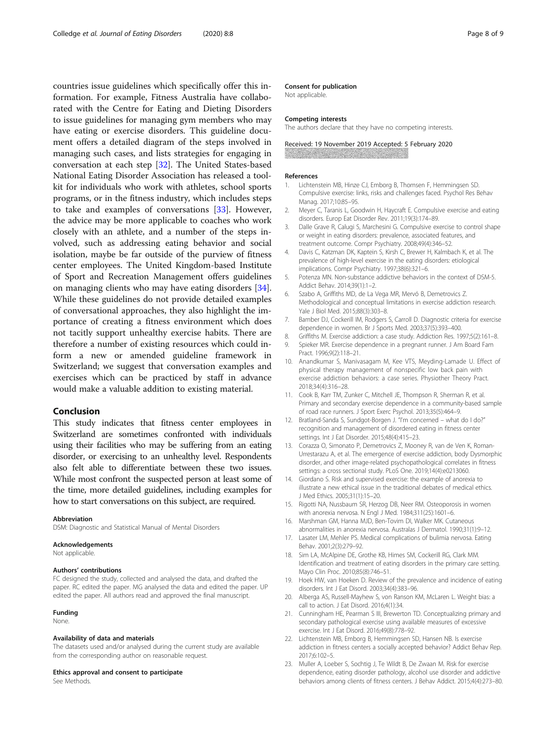<span id="page-7-0"></span>countries issue guidelines which specifically offer this information. For example, Fitness Australia have collaborated with the Centre for Eating and Dieting Disorders to issue guidelines for managing gym members who may have eating or exercise disorders. This guideline document offers a detailed diagram of the steps involved in managing such cases, and lists strategies for engaging in conversation at each step [[32](#page-8-0)]. The United States-based National Eating Disorder Association has released a toolkit for individuals who work with athletes, school sports programs, or in the fitness industry, which includes steps to take and examples of conversations [[33\]](#page-8-0). However, the advice may be more applicable to coaches who work closely with an athlete, and a number of the steps involved, such as addressing eating behavior and social isolation, maybe be far outside of the purview of fitness center employees. The United Kingdom-based Institute of Sport and Recreation Management offers guidelines on managing clients who may have eating disorders [\[34](#page-8-0)]. While these guidelines do not provide detailed examples of conversational approaches, they also highlight the importance of creating a fitness environment which does not tacitly support unhealthy exercise habits. There are therefore a number of existing resources which could inform a new or amended guideline framework in Switzerland; we suggest that conversation examples and exercises which can be practiced by staff in advance would make a valuable addition to existing material.

#### Conclusion

This study indicates that fitness center employees in Switzerland are sometimes confronted with individuals using their facilities who may be suffering from an eating disorder, or exercising to an unhealthy level. Respondents also felt able to differentiate between these two issues. While most confront the suspected person at least some of the time, more detailed guidelines, including examples for how to start conversations on this subject, are required.

#### Abbreviation

DSM: Diagnostic and Statistical Manual of Mental Disorders

#### Acknowledgements

Not applicable.

#### Authors' contributions

FC designed the study, collected and analysed the data, and drafted the paper. RC edited the paper. MG analysed the data and edited the paper. UP edited the paper. All authors read and approved the final manuscript.

#### Funding

None.

#### Availability of data and materials

The datasets used and/or analysed during the current study are available from the corresponding author on reasonable request.

#### Ethics approval and consent to participate

See Methods.

#### Consent for publication

Not applicable.

#### Competing interests

The authors declare that they have no competing interests.

Received: 19 November 2019 Accepted: 5 February 2020

#### References

- 1. Lichtenstein MB, Hinze CJ, Emborg B, Thomsen F, Hemmingsen SD. Compulsive exercise: links, risks and challenges faced. Psychol Res Behav Manag. 2017;10:85–95.
- 2. Meyer C, Taranis L, Goodwin H, Haycraft E. Compulsive exercise and eating disorders. Europ Eat Disorder Rev. 2011;19(3):174–89.
- 3. Dalle Grave R, Calugi S, Marchesini G. Compulsive exercise to control shape or weight in eating disorders: prevalence, associated features, and treatment outcome. Compr Psychiatry. 2008;49(4):346–52.
- 4. Davis C, Katzman DK, Kaptein S, Kirsh C, Brewer H, Kalmbach K, et al. The prevalence of high-level exercise in the eating disorders: etiological implications. Compr Psychiatry. 1997;38(6):321–6.
- 5. Potenza MN. Non-substance addictive behaviors in the context of DSM-5. Addict Behav. 2014;39(1):1–2.
- 6. Szabo A, Griffiths MD, de La Vega MR, Mervó B, Demetrovics Z. Methodological and conceptual limitations in exercise addiction research. Yale J Biol Med. 2015;88(3):303–8.
- 7. Bamber DJ, Cockerill IM, Rodgers S, Carroll D. Diagnostic criteria for exercise dependence in women. Br J Sports Med. 2003;37(5):393–400.
- 8. Griffiths M. Exercise addiction: a case study. Addiction Res. 1997;5(2):161–8. 9. Spieker MR. Exercise dependence in a pregnant runner. J Am Board Fam Pract. 1996;9(2):118–21.
- 10. Anandkumar S, Manivasagam M, Kee VTS, Meyding-Lamade U. Effect of physical therapy management of nonspecific low back pain with exercise addiction behaviors: a case series. Physiother Theory Pract. 2018;34(4):316–28.
- 11. Cook B, Karr TM, Zunker C, Mitchell JE, Thompson R, Sherman R, et al. Primary and secondary exercise dependence in a community-based sample of road race runners. J Sport Exerc Psychol. 2013;35(5):464–9.
- 12. Bratland-Sanda S, Sundgot-Borgen J. "I'm concerned what do I do?" recognition and management of disordered eating in fitness center settings. Int J Eat Disorder. 2015;48(4):415–23.
- 13. Corazza O, Simonato P, Demetrovics Z, Mooney R, van de Ven K, Roman-Urrestarazu A, et al. The emergence of exercise addiction, body Dysmorphic disorder, and other image-related psychopathological correlates in fitness settings: a cross sectional study. PLoS One. 2019;14(4):e0213060.
- 14. Giordano S. Risk and supervised exercise: the example of anorexia to illustrate a new ethical issue in the traditional debates of medical ethics. J Med Ethics. 2005;31(1):15–20.
- 15. Rigotti NA, Nussbaum SR, Herzog DB, Neer RM. Osteoporosis in women with anorexia nervosa. N Engl J Med. 1984;311(25):1601–6.
- 16. Marshman GM, Hanna MJD, Ben-Tovim DI, Walker MK. Cutaneous abnormalities in anorexia nervosa. Australas J Dermatol. 1990;31(1):9–12.
- 17. Lasater LM, Mehler PS. Medical complications of bulimia nervosa. Eating Behav. 2001;2(3):279–92.
- 18. Sim LA, McAlpine DE, Grothe KB, Himes SM, Cockerill RG, Clark MM. Identification and treatment of eating disorders in the primary care setting. Mayo Clin Proc. 2010;85(8):746–51.
- 19. Hoek HW, van Hoeken D. Review of the prevalence and incidence of eating disorders. Int J Eat Disord. 2003;34(4):383–96.
- 20. Alberga AS, Russell-Mayhew S, von Ranson KM, McLaren L. Weight bias: a call to action. J Eat Disord. 2016;4(1):34.
- 21. Cunningham HE, Pearman S III, Brewerton TD. Conceptualizing primary and secondary pathological exercise using available measures of excessive exercise. Int J Eat Disord. 2016;49(8):778–92.
- 22. Lichtenstein MB, Emborg B, Hemmingsen SD, Hansen NB. Is exercise addiction in fitness centers a socially accepted behavior? Addict Behav Rep. 2017;6:102–5.
- 23. Muller A, Loeber S, Sochtig J, Te Wildt B, De Zwaan M. Risk for exercise dependence, eating disorder pathology, alcohol use disorder and addictive behaviors among clients of fitness centers. J Behav Addict. 2015;4(4):273–80.